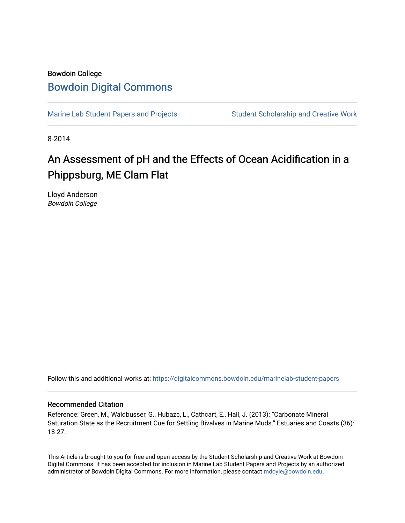# Bowdoin College [Bowdoin Digital Commons](https://digitalcommons.bowdoin.edu/)

[Marine Lab Student Papers and Projects](https://digitalcommons.bowdoin.edu/marinelab-student-papers) Student Scholarship and Creative Work

8-2014

# An Assessment of pH and the Effects of Ocean Acidification in a Phippsburg, ME Clam Flat

Lloyd Anderson Bowdoin College

Follow this and additional works at: [https://digitalcommons.bowdoin.edu/marinelab-student-papers](https://digitalcommons.bowdoin.edu/marinelab-student-papers?utm_source=digitalcommons.bowdoin.edu%2Fmarinelab-student-papers%2F19&utm_medium=PDF&utm_campaign=PDFCoverPages) 

### Recommended Citation

Reference: Green, M., Waldbusser, G., Hubazc, L., Cathcart, E., Hall, J. (2013): "Carbonate Mineral Saturation State as the Recruitment Cue for Settling Bivalves in Marine Muds." Estuaries and Coasts (36): 18-27.

This Article is brought to you for free and open access by the Student Scholarship and Creative Work at Bowdoin Digital Commons. It has been accepted for inclusion in Marine Lab Student Papers and Projects by an authorized administrator of Bowdoin Digital Commons. For more information, please contact [mdoyle@bowdoin.edu.](mailto:mdoyle@bowdoin.edu)